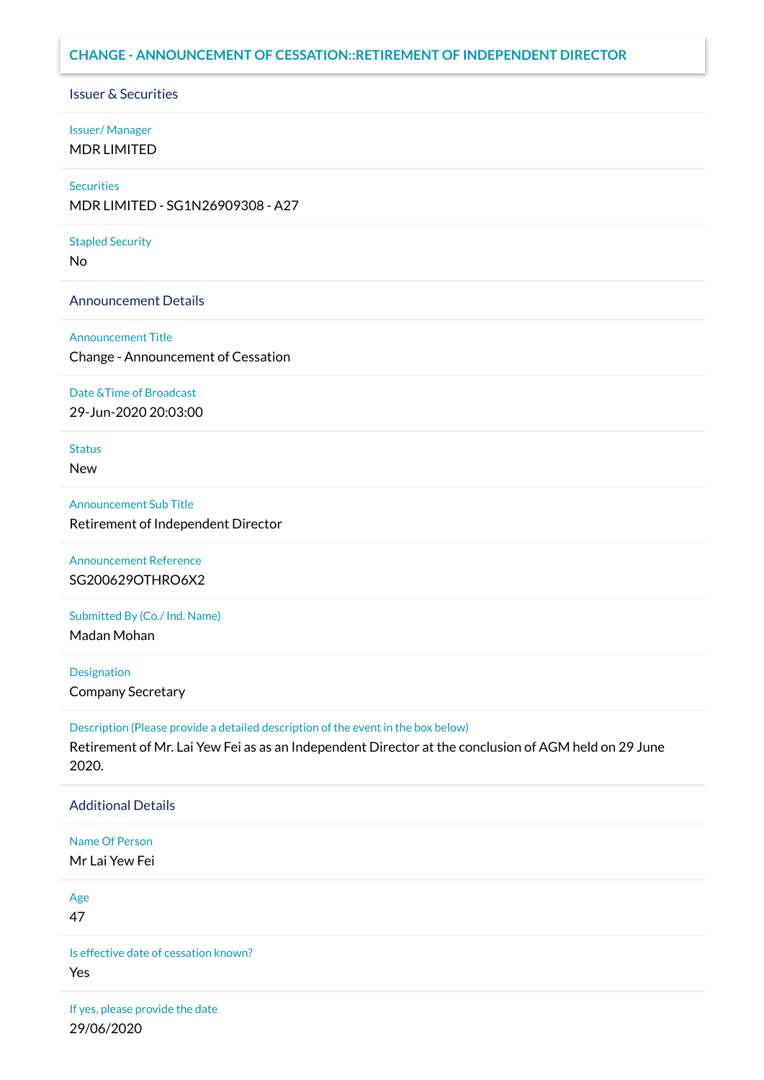# **CHANGE - ANNOUNCEMENT OF CESSATION::RETIREMENT OF INDEPENDENT DIRECTOR**

Issuer & Securities

# Issuer/ Manager MDR LIMITED

## **Securities**

MDR LIMITED - SG1N26909308 - A27

## Stapled Security

No

# Announcement Details

## Announcement Title

Change - Announcement of Cessation

## Date &Time of Broadcast

29-Jun-2020 20:03:00

## **Status**

New

## Announcement Sub Title

Retirement of Independent Director

# Announcement Reference SG200629OTHRO6X2

Submitted By (Co./ Ind. Name)

Madan Mohan

# Designation

Company Secretary

## Description (Please provide a detailed description of the event in the box below)

Retirement of Mr. Lai Yew Fei as as an Independent Director at the conclusion of AGM held on 29 June 2020.

# Additional Details

## Name Of Person

Mr Lai Yew Fei

# Age

47

Is effective date of cessation known? Yes